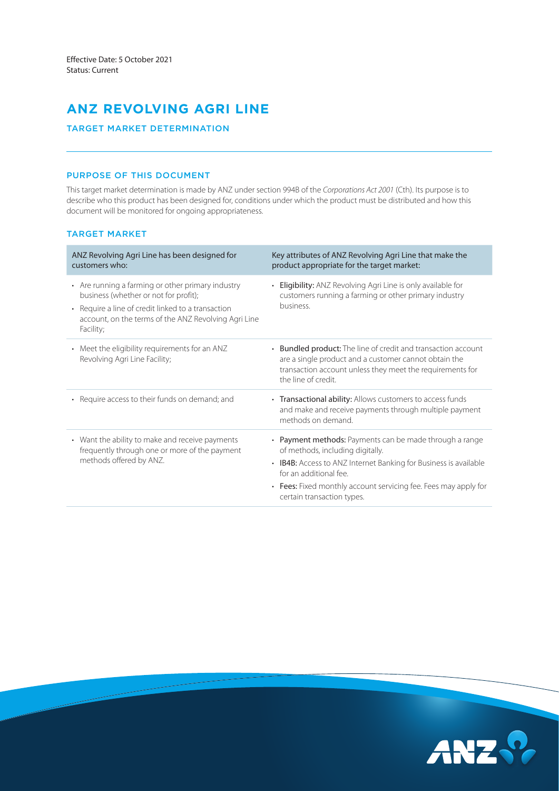# **ANZ REVOLVING AGRI LINE**

# TARGET MARKET DETERMINATION

# PURPOSE OF THIS DOCUMENT

This target market determination is made by ANZ under section 994B of the *Corporations Act 2001* (Cth). Its purpose is to describe who this product has been designed for, conditions under which the product must be distributed and how this document will be monitored for ongoing appropriateness.

## TARGET MARKET

| ANZ Revolving Agri Line has been designed for<br>customers who:                                                                                                                                                       | Key attributes of ANZ Revolving Agri Line that make the<br>product appropriate for the target market:                                                                                                                                                                                     |
|-----------------------------------------------------------------------------------------------------------------------------------------------------------------------------------------------------------------------|-------------------------------------------------------------------------------------------------------------------------------------------------------------------------------------------------------------------------------------------------------------------------------------------|
| • Are running a farming or other primary industry<br>business (whether or not for profit);<br>• Require a line of credit linked to a transaction<br>account, on the terms of the ANZ Revolving Agri Line<br>Facility; | • Eligibility: ANZ Revolving Agri Line is only available for<br>customers running a farming or other primary industry<br>business.                                                                                                                                                        |
| • Meet the eligibility requirements for an ANZ<br>Revolving Agri Line Facility;                                                                                                                                       | • Bundled product: The line of credit and transaction account<br>are a single product and a customer cannot obtain the<br>transaction account unless they meet the requirements for<br>the line of credit.                                                                                |
| • Require access to their funds on demand; and                                                                                                                                                                        | • Transactional ability: Allows customers to access funds<br>and make and receive payments through multiple payment<br>methods on demand.                                                                                                                                                 |
| • Want the ability to make and receive payments<br>frequently through one or more of the payment<br>methods offered by ANZ.                                                                                           | • Payment methods: Payments can be made through a range<br>of methods, including digitally.<br>• IB4B: Access to ANZ Internet Banking for Business is available<br>for an additional fee<br>• Fees: Fixed monthly account servicing fee. Fees may apply for<br>certain transaction types. |

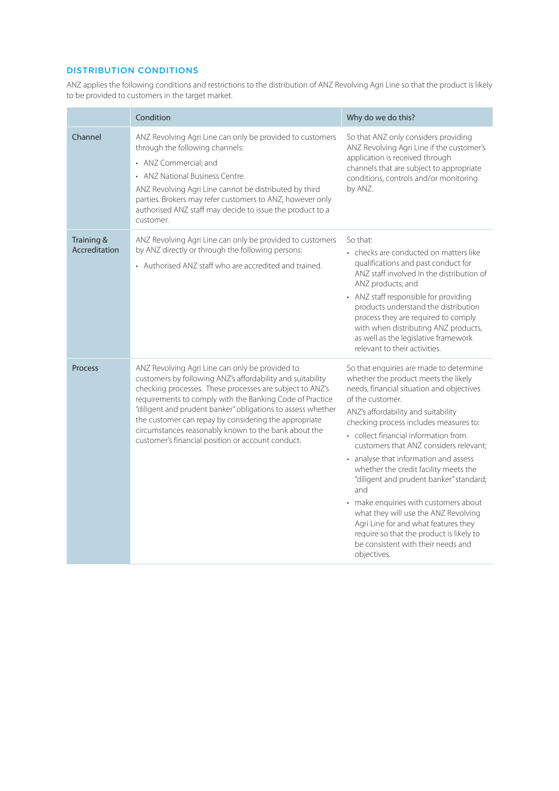# DISTRIBUTION CONDITIONS

ANZ applies the following conditions and restrictions to the distribution of ANZ Revolving Agri Line so that the product is likely to be provided to customers in the target market.

|                             | Condition                                                                                                                                                                                                                                                                                                                                                                                                                                                                  | Why do we do this?                                                                                                                                                                                                                                                                                                                                                                                                                                                                                                                                                                                                                                                                |
|-----------------------------|----------------------------------------------------------------------------------------------------------------------------------------------------------------------------------------------------------------------------------------------------------------------------------------------------------------------------------------------------------------------------------------------------------------------------------------------------------------------------|-----------------------------------------------------------------------------------------------------------------------------------------------------------------------------------------------------------------------------------------------------------------------------------------------------------------------------------------------------------------------------------------------------------------------------------------------------------------------------------------------------------------------------------------------------------------------------------------------------------------------------------------------------------------------------------|
| Channel                     | ANZ Revolving Agri Line can only be provided to customers<br>through the following channels:<br>• ANZ Commercial; and<br>• ANZ National Business Centre.<br>ANZ Revolving Agri Line cannot be distributed by third<br>parties. Brokers may refer customers to ANZ, however only<br>authorised ANZ staff may decide to issue the product to a<br>customer.                                                                                                                  | So that ANZ only considers providing<br>ANZ Revolving Agri Line if the customer's<br>application is received through<br>channels that are subject to appropriate<br>conditions, controls and/or monitoring<br>by ANZ.                                                                                                                                                                                                                                                                                                                                                                                                                                                             |
| Training &<br>Accreditation | ANZ Revolving Agri Line can only be provided to customers<br>by ANZ directly or through the following persons:<br>• Authorised ANZ staff who are accredited and trained.                                                                                                                                                                                                                                                                                                   | So that:<br>• checks are conducted on matters like<br>qualifications and past conduct for<br>ANZ staff involved in the distribution of<br>ANZ products; and<br>• ANZ staff responsible for providing<br>products understand the distribution<br>process they are required to comply<br>with when distributing ANZ products,<br>as well as the legislative framework<br>relevant to their activities.                                                                                                                                                                                                                                                                              |
| <b>Process</b>              | ANZ Revolving Agri Line can only be provided to<br>customers by following ANZ's affordability and suitability<br>checking processes. These processes are subject to ANZ's<br>requirements to comply with the Banking Code of Practice<br>"diligent and prudent banker" obligations to assess whether<br>the customer can repay by considering the appropriate<br>circumstances reasonably known to the bank about the<br>customer's financial position or account conduct. | So that enquiries are made to determine<br>whether the product meets the likely<br>needs, financial situation and objectives<br>of the customer.<br>ANZ's affordability and suitability<br>checking process includes measures to:<br>• collect financial information from<br>customers that ANZ considers relevant:<br>• analyse that information and assess<br>whether the credit facility meets the<br>"diligent and prudent banker" standard;<br>and<br>• make enquiries with customers about<br>what they will use the ANZ Revolving<br>Agri Line for and what features they<br>require so that the product is likely to<br>be consistent with their needs and<br>objectives. |